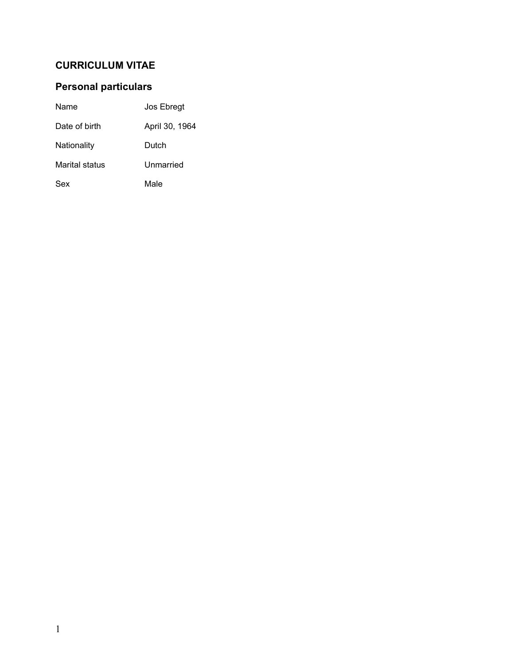# **CURRICULUM VITAE**

# **Personal particulars**

| Name           | Jos Ebregt     |
|----------------|----------------|
| Date of birth  | April 30, 1964 |
| Nationality    | Dutch          |
| Marital status | Unmarried      |
| Sex            | Male           |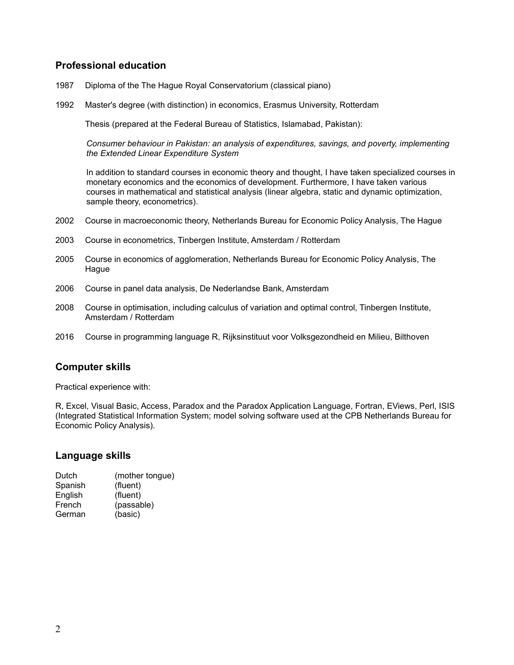# **Professional education**

- 1987 Diploma of the The Hague Royal Conservatorium (classical piano)
- 1992 Master's degree (with distinction) in economics, Erasmus University, Rotterdam

Thesis (prepared at the Federal Bureau of Statistics, Islamabad, Pakistan):

*Consumer behaviour in Pakistan: an analysis of expenditures, savings, and poverty, implementing the Extended Linear Expenditure System*

In addition to standard courses in economic theory and thought, I have taken specialized courses in monetary economics and the economics of development. Furthermore, I have taken various courses in mathematical and statistical analysis (linear algebra, static and dynamic optimization, sample theory, econometrics).

- 2002 Course in macroeconomic theory, Netherlands Bureau for Economic Policy Analysis, The Hague
- 2003 Course in econometrics, Tinbergen Institute, Amsterdam / Rotterdam
- 2005 Course in economics of agglomeration, Netherlands Bureau for Economic Policy Analysis, The Hague
- 2006 Course in panel data analysis, De Nederlandse Bank, Amsterdam
- 2008 Course in optimisation, including calculus of variation and optimal control, Tinbergen Institute, Amsterdam / Rotterdam
- 2016 Course in programming language R, Rijksinstituut voor Volksgezondheid en Milieu, Bilthoven

## **Computer skills**

Practical experience with:

R, Excel, Visual Basic, Access, Paradox and the Paradox Application Language, Fortran, EViews, Perl, ISIS (Integrated Statistical Information System; model solving software used at the CPB Netherlands Bureau for Economic Policy Analysis).

### **Language skills**

| Dutch   | (mother tongue) |
|---------|-----------------|
| Spanish | (fluent)        |
| English | (fluent)        |
| French  | (passable)      |
| German  | (basic)         |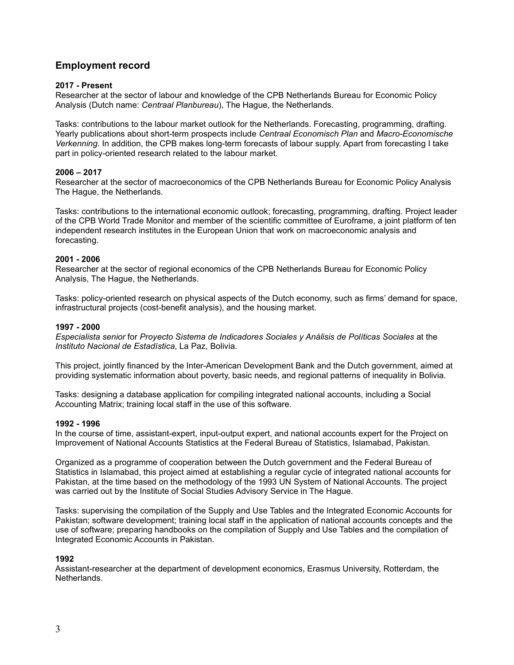# **Employment record**

#### **2017 - Present**

Researcher at the sector of labour and knowledge of the CPB Netherlands Bureau for Economic Policy Analysis (Dutch name: *Centraal Planbureau*), The Hague, the Netherlands.

Tasks: contributions to the labour market outlook for the Netherlands. Forecasting, programming, drafting. Yearly publications about short-term prospects include *Centraal Economisch Plan* and *Macro-Economische Verkenning*. In addition, the CPB makes long-term forecasts of labour supply. Apart from forecasting I take part in policy-oriented research related to the labour market.

#### **2006 – 2017**

Researcher at the sector of macroeconomics of the CPB Netherlands Bureau for Economic Policy Analysis The Hague, the Netherlands.

Tasks: contributions to the international economic outlook; forecasting, programming, drafting. Project leader of the CPB World Trade Monitor and member of the scientific committee of Euroframe, a joint platform of ten independent research institutes in the European Union that work on macroeconomic analysis and forecasting.

#### **2001 - 2006**

Researcher at the sector of regional economics of the CPB Netherlands Bureau for Economic Policy Analysis, The Hague, the Netherlands.

Tasks: policy-oriented research on physical aspects of the Dutch economy, such as firms' demand for space, infrastructural projects (cost-benefit analysis), and the housing market.

#### **1997 - 2000**

*Especialista senior* for *Proyecto Sistema de Indicadores Sociales y Análisis de Políticas Sociales* at the *Instituto Nacional de Estadística*, La Paz, Bolivia.

This project, jointly financed by the Inter-American Development Bank and the Dutch government, aimed at providing systematic information about poverty, basic needs, and regional patterns of inequality in Bolivia.

Tasks: designing a database application for compiling integrated national accounts, including a Social Accounting Matrix; training local staff in the use of this software.

#### **1992 - 1996**

In the course of time, assistant-expert, input-output expert, and national accounts expert for the Project on Improvement of National Accounts Statistics at the Federal Bureau of Statistics, Islamabad, Pakistan.

Organized as a programme of cooperation between the Dutch government and the Federal Bureau of Statistics in Islamabad, this project aimed at establishing a regular cycle of integrated national accounts for Pakistan, at the time based on the methodology of the 1993 UN System of National Accounts. The project was carried out by the Institute of Social Studies Advisory Service in The Hague.

Tasks: supervising the compilation of the Supply and Use Tables and the Integrated Economic Accounts for Pakistan; software development; training local staff in the application of national accounts concepts and the use of software; preparing handbooks on the compilation of Supply and Use Tables and the compilation of Integrated Economic Accounts in Pakistan.

#### **1992**

Assistant-researcher at the department of development economics, Erasmus University, Rotterdam, the Netherlands.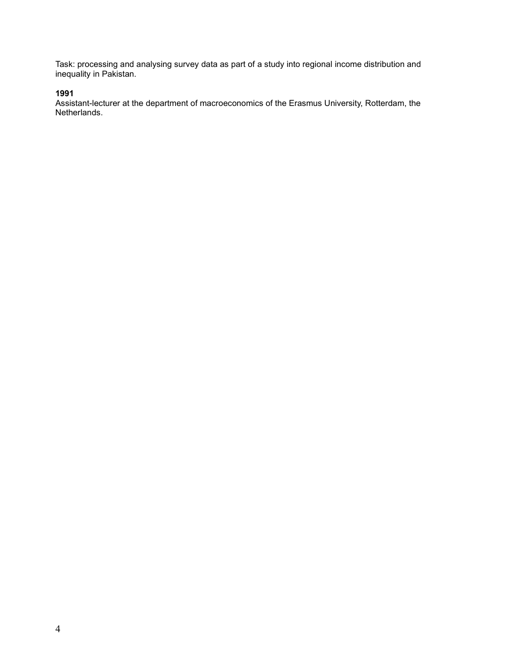Task: processing and analysing survey data as part of a study into regional income distribution and inequality in Pakistan.

## **1991**

Assistant-lecturer at the department of macroeconomics of the Erasmus University, Rotterdam, the Netherlands.